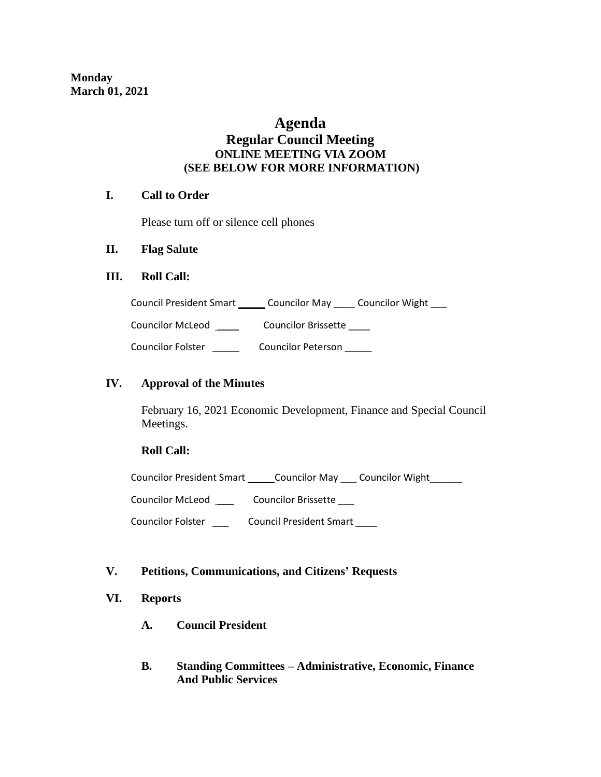# **Agenda**

# **Regular Council Meeting ONLINE MEETING VIA ZOOM (SEE BELOW FOR MORE INFORMATION)**

## **I. Call to Order**

Please turn off or silence cell phones

## **II. Flag Salute**

### **III. Roll Call:**

| <b>Council President Smart</b> | <b>Councilor May</b> | <b>Councilor Wight</b> |
|--------------------------------|----------------------|------------------------|
|                                |                      |                        |

Councilor McLeod \_\_\_\_\_ Councilor Brissette \_\_\_\_

Councilor Folster \_\_\_\_\_\_ Councilor Peterson \_\_\_\_\_

## **IV. Approval of the Minutes**

February 16, 2021 Economic Development, Finance and Special Council Meetings.

### **Roll Call:**

Councilor President Smart \_\_\_\_\_\_ Councilor May \_\_\_\_ Councilor Wight

Councilor McLeod \_\_\_\_\_\_\_\_ Councilor Brissette \_\_\_\_

Councilor Folster \_\_\_ Council President Smart \_\_\_\_

### **V. Petitions, Communications, and Citizens' Requests**

### **VI. Reports**

- **A. Council President**
- **B. Standing Committees – Administrative, Economic, Finance And Public Services**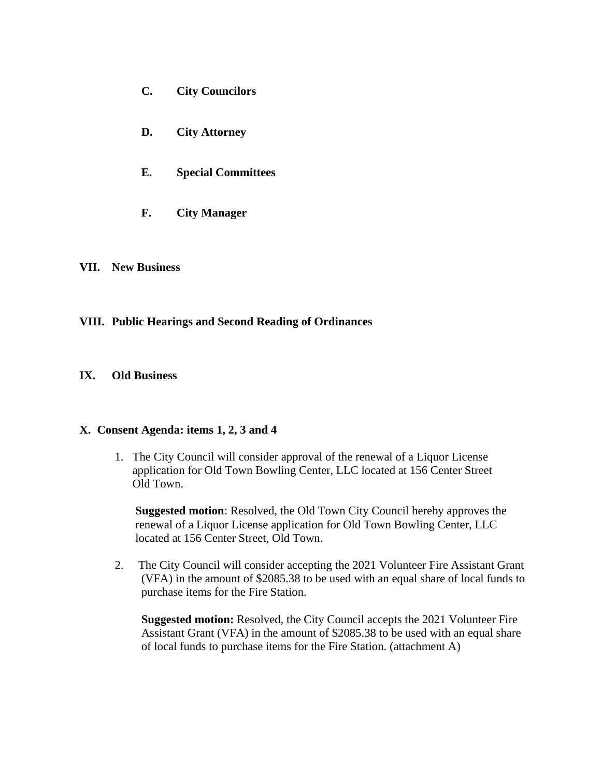- **C. City Councilors**
- **D. City Attorney**
- **E. Special Committees**
- **F. City Manager**

#### **VII. New Business**

### **VIII. Public Hearings and Second Reading of Ordinances**

#### **IX. Old Business**

#### **X. Consent Agenda: items 1, 2, 3 and 4**

1. The City Council will consider approval of the renewal of a Liquor License application for Old Town Bowling Center, LLC located at 156 Center Street Old Town.

 **Suggested motion**: Resolved, the Old Town City Council hereby approves the renewal of a Liquor License application for Old Town Bowling Center, LLC located at 156 Center Street, Old Town.

2. The City Council will consider accepting the 2021 Volunteer Fire Assistant Grant (VFA) in the amount of \$2085.38 to be used with an equal share of local funds to purchase items for the Fire Station.

 **Suggested motion:** Resolved, the City Council accepts the 2021 Volunteer Fire Assistant Grant (VFA) in the amount of \$2085.38 to be used with an equal share of local funds to purchase items for the Fire Station. (attachment A)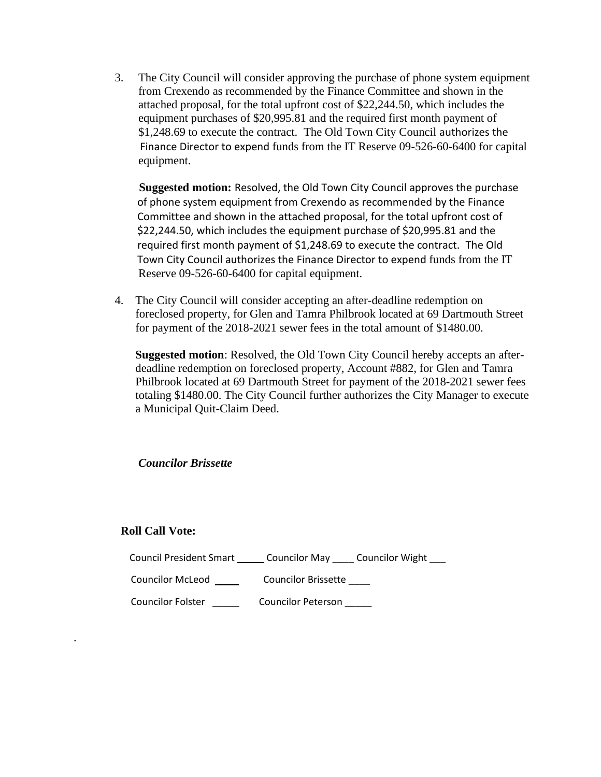3. The City Council will consider approving the purchase of phone system equipment from Crexendo as recommended by the Finance Committee and shown in the attached proposal, for the total upfront cost of \$22,244.50, which includes the equipment purchases of \$20,995.81 and the required first month payment of \$1,248.69 to execute the contract. The Old Town City Council authorizes the Finance Director to expend funds from the IT Reserve 09-526-60-6400 for capital equipment.

 **Suggested motion:** Resolved, the Old Town City Council approves the purchase of phone system equipment from Crexendo as recommended by the Finance Committee and shown in the attached proposal, for the total upfront cost of \$22,244.50, which includes the equipment purchase of \$20,995.81 and the required first month payment of \$1,248.69 to execute the contract. The Old Town City Council authorizes the Finance Director to expend funds from the IT Reserve 09-526-60-6400 for capital equipment.

4. The City Council will consider accepting an after-deadline redemption on foreclosed property, for Glen and Tamra Philbrook located at 69 Dartmouth Street for payment of the 2018-2021 sewer fees in the total amount of \$1480.00.

 **Suggested motion**: Resolved, the Old Town City Council hereby accepts an after deadline redemption on foreclosed property, Account #882, for Glen and Tamra Philbrook located at 69 Dartmouth Street for payment of the 2018-2021 sewer fees totaling \$1480.00. The City Council further authorizes the City Manager to execute a Municipal Quit-Claim Deed.

 *Councilor Brissette*

### **Roll Call Vote:**

.

| Council President Smart  | Councilor May Councilor Wight |
|--------------------------|-------------------------------|
| <b>Councilor McLeod</b>  | <b>Councilor Brissette</b>    |
| <b>Councilor Folster</b> | <b>Councilor Peterson</b>     |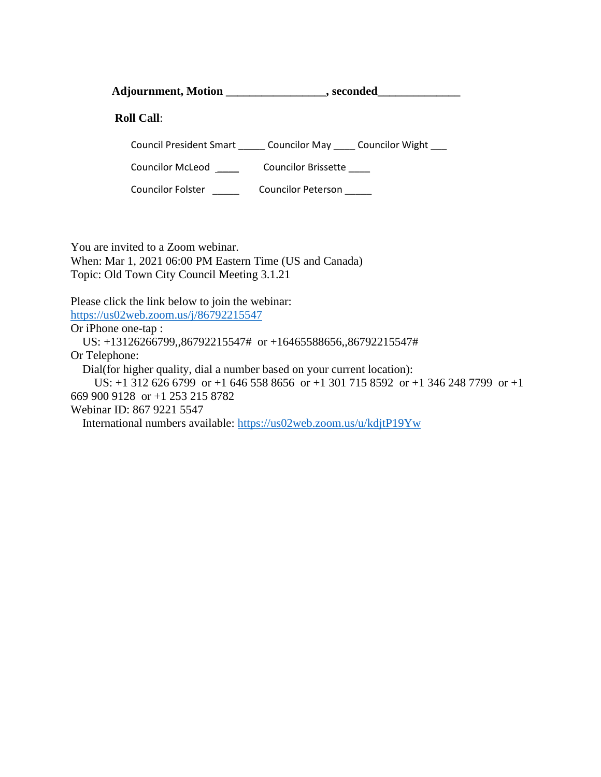Adjournment, Motion \_\_\_\_\_\_\_\_\_\_\_\_\_\_\_\_\_\_, seconded

 **Roll Call**:

Council President Smart \_\_\_\_\_ Councilor May \_\_\_\_ Councilor Wight \_\_\_

Councilor McLeod \_\_\_\_\_ Councilor Brissette \_\_\_\_

Councilor Folster \_\_\_\_\_\_ Councilor Peterson \_\_\_\_\_

You are invited to a Zoom webinar. When: Mar 1, 2021 06:00 PM Eastern Time (US and Canada) Topic: Old Town City Council Meeting 3.1.21

Please click the link below to join the webinar: <https://us02web.zoom.us/j/86792215547>

Or iPhone one-tap : US: +13126266799,,86792215547# or +16465588656,,86792215547# Or Telephone: Dial(for higher quality, dial a number based on your current location): US: +1 312 626 6799 or +1 646 558 8656 or +1 301 715 8592 or +1 346 248 7799 or +1 669 900 9128 or +1 253 215 8782 Webinar ID: 867 9221 5547 International numbers available:<https://us02web.zoom.us/u/kdjtP19Yw>